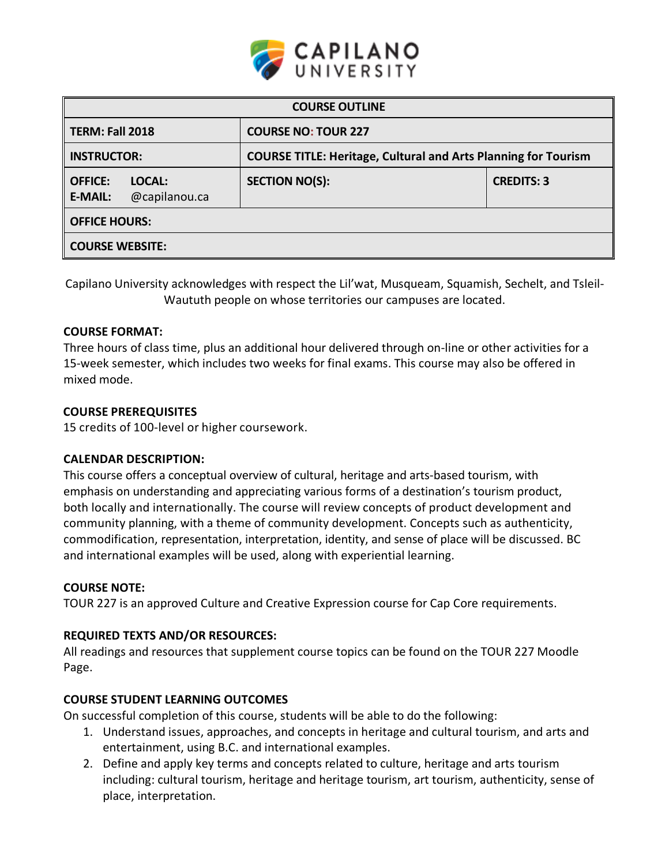

| <b>COURSE OUTLINE</b>                                       |                                                                       |                   |  |  |
|-------------------------------------------------------------|-----------------------------------------------------------------------|-------------------|--|--|
| TERM: Fall 2018                                             | <b>COURSE NO: TOUR 227</b>                                            |                   |  |  |
| <b>INSTRUCTOR:</b>                                          | <b>COURSE TITLE: Heritage, Cultural and Arts Planning for Tourism</b> |                   |  |  |
| <b>OFFICE:</b><br>LOCAL:<br>@capilanou.ca<br><b>E-MAIL:</b> | <b>SECTION NO(S):</b>                                                 | <b>CREDITS: 3</b> |  |  |
| <b>OFFICE HOURS:</b>                                        |                                                                       |                   |  |  |
| <b>COURSE WEBSITE:</b>                                      |                                                                       |                   |  |  |

Capilano University acknowledges with respect the Lil'wat, Musqueam, Squamish, Sechelt, and Tsleil-Waututh people on whose territories our campuses are located.

# **COURSE FORMAT:**

Three hours of class time, plus an additional hour delivered through on-line or other activities for a 15-week semester, which includes two weeks for final exams. This course may also be offered in mixed mode.

## **COURSE PREREQUISITES**

15 credits of 100-level or higher coursework.

# **CALENDAR DESCRIPTION:**

This course offers a conceptual overview of cultural, heritage and arts-based tourism, with emphasis on understanding and appreciating various forms of a destination's tourism product, both locally and internationally. The course will review concepts of product development and community planning, with a theme of community development. Concepts such as authenticity, commodification, representation, interpretation, identity, and sense of place will be discussed. BC and international examples will be used, along with experiential learning.

### **COURSE NOTE:**

TOUR 227 is an approved Culture and Creative Expression course for Cap Core requirements.

### **REQUIRED TEXTS AND/OR RESOURCES:**

All readings and resources that supplement course topics can be found on the TOUR 227 Moodle Page.

# **COURSE STUDENT LEARNING OUTCOMES**

On successful completion of this course, students will be able to do the following:

- 1. Understand issues, approaches, and concepts in heritage and cultural tourism, and arts and entertainment, using B.C. and international examples.
- 2. Define and apply key terms and concepts related to culture, heritage and arts tourism including: cultural tourism, heritage and heritage tourism, art tourism, authenticity, sense of place, interpretation.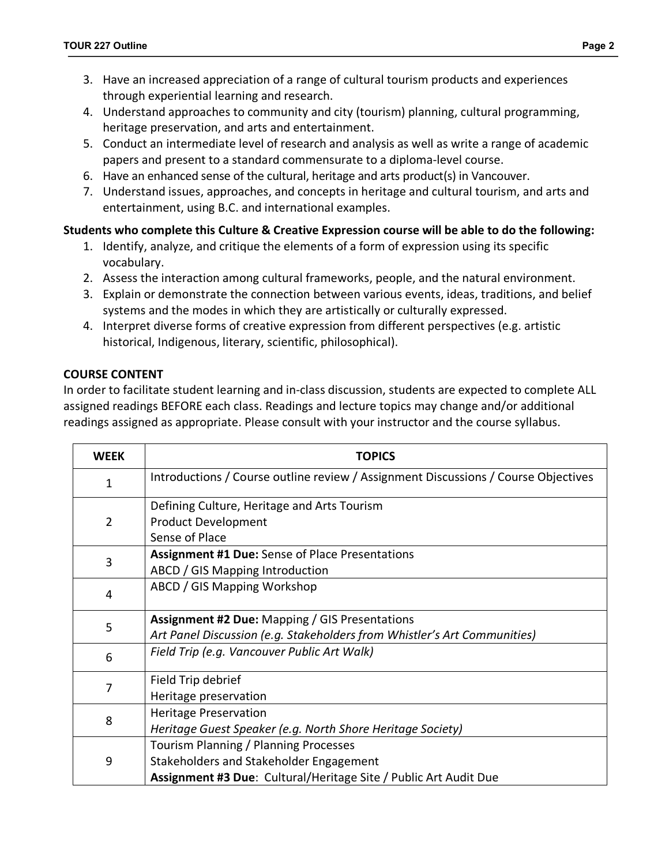- 4. Understand approaches to community and city (tourism) planning, cultural programming, heritage preservation, and arts and entertainment.
- 5. Conduct an intermediate level of research and analysis as well as write a range of academic papers and present to a standard commensurate to a diploma-level course.
- 6. Have an enhanced sense of the cultural, heritage and arts product(s) in Vancouver.
- 7. Understand issues, approaches, and concepts in heritage and cultural tourism, and arts and entertainment, using B.C. and international examples.

# **Students who complete this Culture & Creative Expression course will be able to do the following:**

- 1. Identify, analyze, and critique the elements of a form of expression using its specific vocabulary.
- 2. Assess the interaction among cultural frameworks, people, and the natural environment.
- 3. Explain or demonstrate the connection between various events, ideas, traditions, and belief systems and the modes in which they are artistically or culturally expressed.
- 4. Interpret diverse forms of creative expression from different perspectives (e.g. artistic historical, Indigenous, literary, scientific, philosophical).

# **COURSE CONTENT**

In order to facilitate student learning and in-class discussion, students are expected to complete ALL assigned readings BEFORE each class. Readings and lecture topics may change and/or additional readings assigned as appropriate. Please consult with your instructor and the course syllabus.

| <b>WEEK</b>    | <b>TOPICS</b>                                                                      |  |  |
|----------------|------------------------------------------------------------------------------------|--|--|
| 1              | Introductions / Course outline review / Assignment Discussions / Course Objectives |  |  |
|                | Defining Culture, Heritage and Arts Tourism                                        |  |  |
| $\overline{2}$ | <b>Product Development</b>                                                         |  |  |
|                | Sense of Place                                                                     |  |  |
| 3              | <b>Assignment #1 Due:</b> Sense of Place Presentations                             |  |  |
|                | ABCD / GIS Mapping Introduction                                                    |  |  |
| 4              | ABCD / GIS Mapping Workshop                                                        |  |  |
|                | <b>Assignment #2 Due: Mapping / GIS Presentations</b>                              |  |  |
| 5              | Art Panel Discussion (e.g. Stakeholders from Whistler's Art Communities)           |  |  |
| 6              | Field Trip (e.g. Vancouver Public Art Walk)                                        |  |  |
|                | Field Trip debrief                                                                 |  |  |
| 7              | Heritage preservation                                                              |  |  |
| 8              | <b>Heritage Preservation</b>                                                       |  |  |
|                | Heritage Guest Speaker (e.g. North Shore Heritage Society)                         |  |  |
|                | Tourism Planning / Planning Processes                                              |  |  |
| 9              | Stakeholders and Stakeholder Engagement                                            |  |  |
|                | Assignment #3 Due: Cultural/Heritage Site / Public Art Audit Due                   |  |  |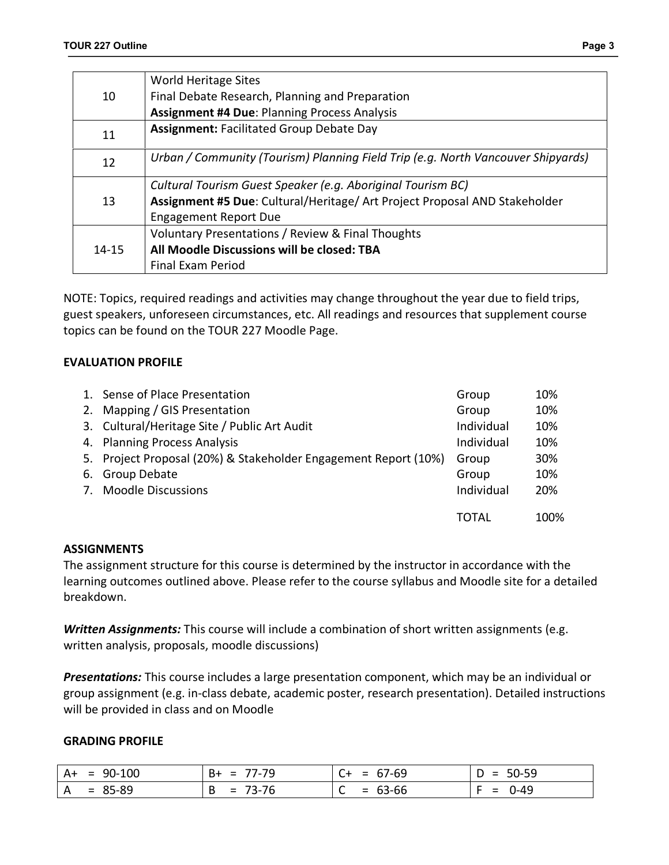|--|--|

|           | <b>World Heritage Sites</b>                                                      |
|-----------|----------------------------------------------------------------------------------|
| 10        | Final Debate Research, Planning and Preparation                                  |
|           | <b>Assignment #4 Due: Planning Process Analysis</b>                              |
|           | <b>Assignment: Facilitated Group Debate Day</b>                                  |
| 11        |                                                                                  |
| 12        | Urban / Community (Tourism) Planning Field Trip (e.g. North Vancouver Shipyards) |
|           |                                                                                  |
|           | Cultural Tourism Guest Speaker (e.g. Aboriginal Tourism BC)                      |
| 13        | Assignment #5 Due: Cultural/Heritage/ Art Project Proposal AND Stakeholder       |
|           | <b>Engagement Report Due</b>                                                     |
|           | Voluntary Presentations / Review & Final Thoughts                                |
| $14 - 15$ | All Moodle Discussions will be closed: TBA                                       |
|           | Final Exam Period                                                                |
|           |                                                                                  |

NOTE: Topics, required readings and activities may change throughout the year due to field trips, guest speakers, unforeseen circumstances, etc. All readings and resources that supplement course topics can be found on the TOUR 227 Moodle Page.

# **EVALUATION PROFILE**

|    | 1. Sense of Place Presentation                                  | Group      | 10%  |
|----|-----------------------------------------------------------------|------------|------|
|    | 2. Mapping / GIS Presentation                                   | Group      | 10%  |
|    | 3. Cultural/Heritage Site / Public Art Audit                    | Individual | 10%  |
|    | 4. Planning Process Analysis                                    | Individual | 10%  |
|    | 5. Project Proposal (20%) & Stakeholder Engagement Report (10%) | Group      | 30%  |
| 6. | Group Debate                                                    | Group      | 10%  |
|    | 7. Moodle Discussions                                           | Individual | 20%  |
|    |                                                                 |            |      |
|    |                                                                 | TOTAL      | 100% |

# **ASSIGNMENTS**

The assignment structure for this course is determined by the instructor in accordance with the learning outcomes outlined above. Please refer to the course syllabus and Moodle site for a detailed breakdown.

*Written Assignments:* This course will include a combination of short written assignments (e.g. written analysis, proposals, moodle discussions)

*Presentations:* This course includes a large presentation component, which may be an individual or group assignment (e.g. in-class debate, academic poster, research presentation). Detailed instructions will be provided in class and on Moodle

### **GRADING PROFILE**

| $A+ = 90-100$ | 77-79<br>$=$ $-$<br>- B+ | $C+ = 67-69$   | $D = 50-59$                |
|---------------|--------------------------|----------------|----------------------------|
| $A = 85-89$   | $= 73-76$                | $= 63-66$<br>∼ | $0 - 49$<br><u>. на на</u> |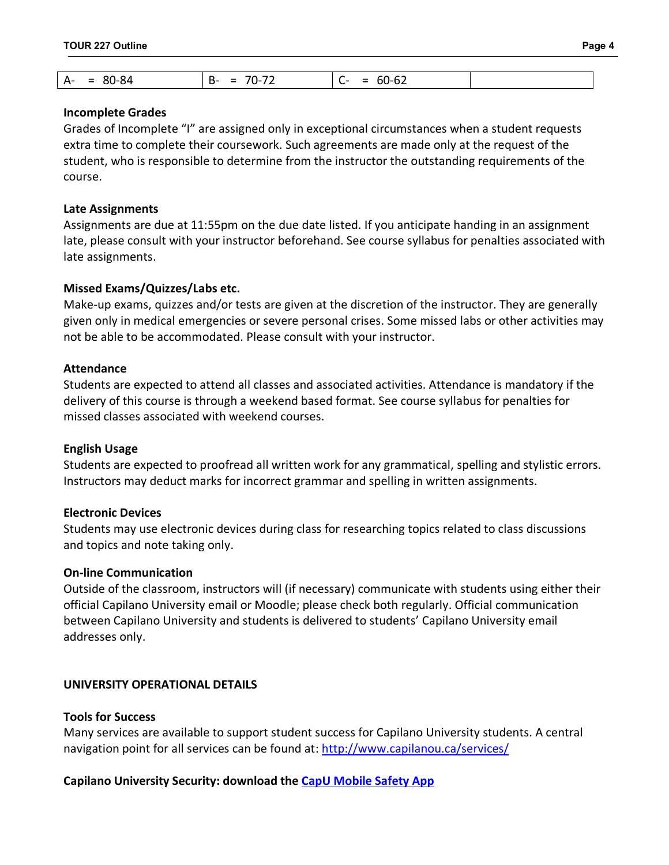### **Incomplete Grades**

Grades of Incomplete "I" are assigned only in exceptional circumstances when a student requests extra time to complete their coursework. Such agreements are made only at the request of the student, who is responsible to determine from the instructor the outstanding requirements of the course.

### **Late Assignments**

Assignments are due at 11:55pm on the due date listed. If you anticipate handing in an assignment late, please consult with your instructor beforehand. See course syllabus for penalties associated with late assignments.

## **Missed Exams/Quizzes/Labs etc.**

Make-up exams, quizzes and/or tests are given at the discretion of the instructor. They are generally given only in medical emergencies or severe personal crises. Some missed labs or other activities may not be able to be accommodated. Please consult with your instructor.

## **Attendance**

Students are expected to attend all classes and associated activities. Attendance is mandatory if the delivery of this course is through a weekend based format. See course syllabus for penalties for missed classes associated with weekend courses.

### **English Usage**

Students are expected to proofread all written work for any grammatical, spelling and stylistic errors. Instructors may deduct marks for incorrect grammar and spelling in written assignments.

# **Electronic Devices**

Students may use electronic devices during class for researching topics related to class discussions and topics and note taking only.

### **On-line Communication**

Outside of the classroom, instructors will (if necessary) communicate with students using either their official Capilano University email or Moodle; please check both regularly. Official communication between Capilano University and students is delivered to students' Capilano University email addresses only.

# **UNIVERSITY OPERATIONAL DETAILS**

## **Tools for Success**

Many services are available to support student success for Capilano University students. A central navigation point for all services can be found at: http://www.capilanou.ca/services/

# **Capilano University Security: download the CapU Mobile Safety App**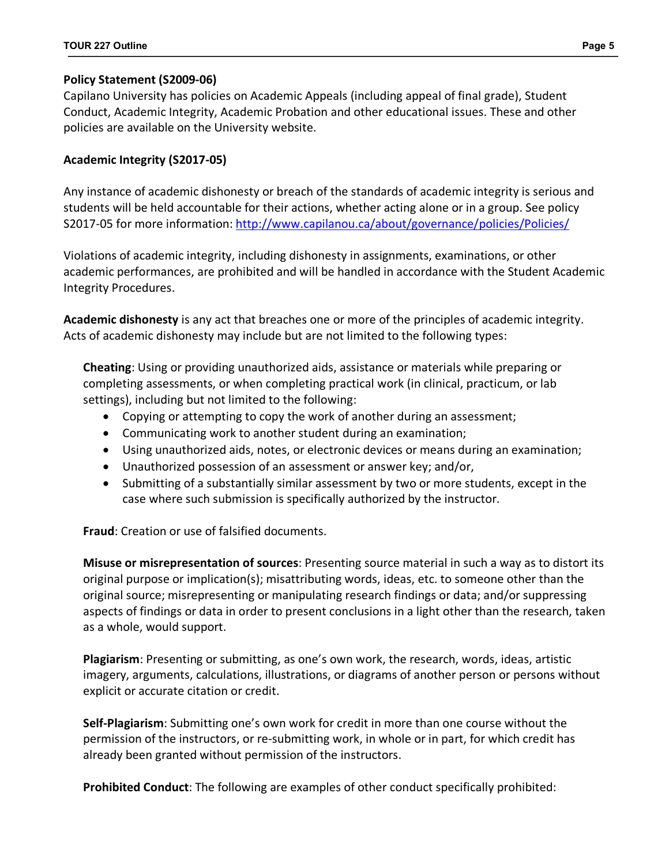# **Policy Statement (S2009-06)**

Capilano University has policies on Academic Appeals (including appeal of final grade), Student Conduct, Academic Integrity, Academic Probation and other educational issues. These and other policies are available on the University website.

# **Academic Integrity (S2017-05)**

Any instance of academic dishonesty or breach of the standards of academic integrity is serious and students will be held accountable for their actions, whether acting alone or in a group. See policy S2017-05 for more information: http://www.capilanou.ca/about/governance/policies/Policies/

Violations of academic integrity, including dishonesty in assignments, examinations, or other academic performances, are prohibited and will be handled in accordance with the Student Academic Integrity Procedures.

**Academic dishonesty** is any act that breaches one or more of the principles of academic integrity. Acts of academic dishonesty may include but are not limited to the following types:

**Cheating**: Using or providing unauthorized aids, assistance or materials while preparing or completing assessments, or when completing practical work (in clinical, practicum, or lab settings), including but not limited to the following:

- Copying or attempting to copy the work of another during an assessment;
- Communicating work to another student during an examination;
- Using unauthorized aids, notes, or electronic devices or means during an examination;
- Unauthorized possession of an assessment or answer key; and/or,
- Submitting of a substantially similar assessment by two or more students, except in the case where such submission is specifically authorized by the instructor.

**Fraud**: Creation or use of falsified documents.

**Misuse or misrepresentation of sources**: Presenting source material in such a way as to distort its original purpose or implication(s); misattributing words, ideas, etc. to someone other than the original source; misrepresenting or manipulating research findings or data; and/or suppressing aspects of findings or data in order to present conclusions in a light other than the research, taken as a whole, would support.

**Plagiarism**: Presenting or submitting, as one's own work, the research, words, ideas, artistic imagery, arguments, calculations, illustrations, or diagrams of another person or persons without explicit or accurate citation or credit.

**Self-Plagiarism**: Submitting one's own work for credit in more than one course without the permission of the instructors, or re-submitting work, in whole or in part, for which credit has already been granted without permission of the instructors.

**Prohibited Conduct**: The following are examples of other conduct specifically prohibited: